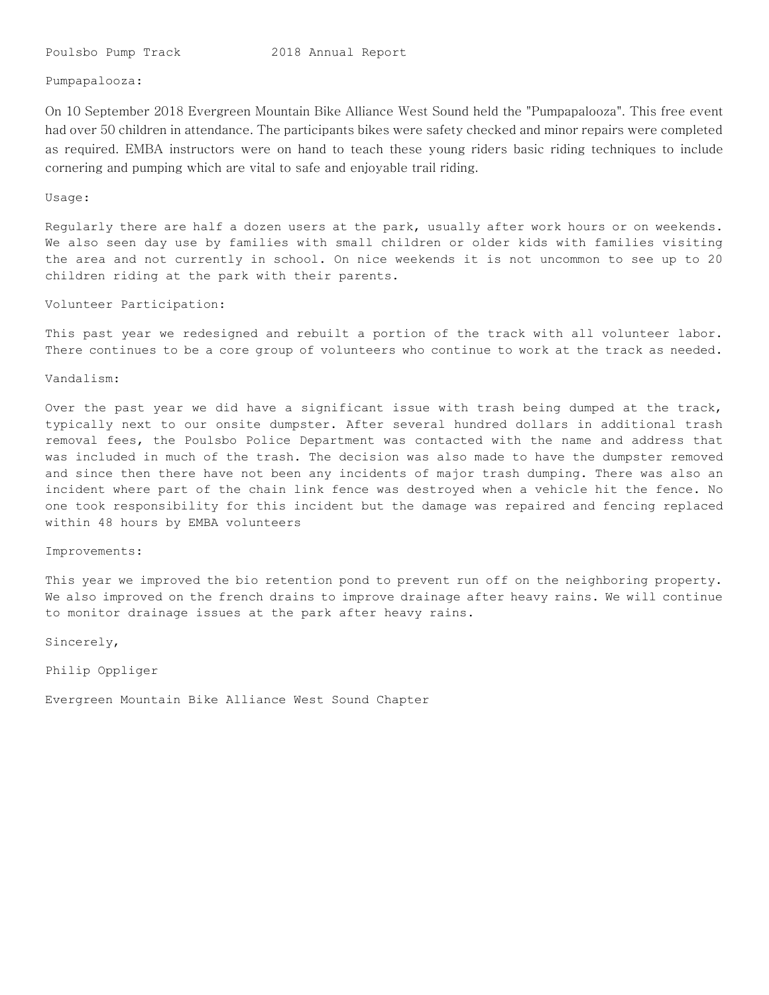## Pumpapalooza:

On 10 September 2018 Evergreen Mountain Bike Alliance West Sound held the "Pumpapalooza". This free event had over 50 children in attendance. The participants bikes were safety checked and minor repairs were completed as required. EMBA instructors were on hand to teach these young riders basic riding techniques to include cornering and pumping which are vital to safe and enjoyable trail riding.

#### Usage:

Regularly there are half a dozen users at the park, usually after work hours or on weekends. We also seen day use by families with small children or older kids with families visiting the area and not currently in school. On nice weekends it is not uncommon to see up to 20 children riding at the park with their parents.

## Volunteer Participation:

This past year we redesigned and rebuilt a portion of the track with all volunteer labor. There continues to be a core group of volunteers who continue to work at the track as needed.

Vandalism:

Over the past year we did have a significant issue with trash being dumped at the track, typically next to our onsite dumpster. After several hundred dollars in additional trash removal fees, the Poulsbo Police Department was contacted with the name and address that was included in much of the trash. The decision was also made to have the dumpster removed and since then there have not been any incidents of major trash dumping. There was also an incident where part of the chain link fence was destroyed when a vehicle hit the fence. No one took responsibility for this incident but the damage was repaired and fencing replaced within 48 hours by EMBA volunteers

#### Improvements:

This year we improved the bio retention pond to prevent run off on the neighboring property. We also improved on the french drains to improve drainage after heavy rains. We will continue to monitor drainage issues at the park after heavy rains.

Sincerely,

Philip Oppliger

Evergreen Mountain Bike Alliance West Sound Chapter